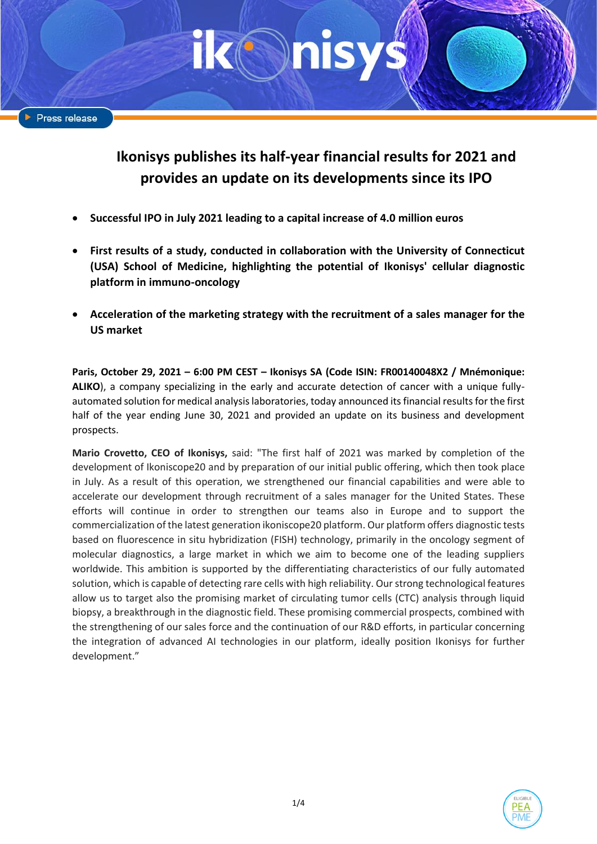# **Ikonisys publishes its half-year financial results for 2021 and provides an update on its developments since its IPO**

- **Successful IPO in July 2021 leading to a capital increase of 4.0 million euros**
- **First results of a study, conducted in collaboration with the University of Connecticut (USA) School of Medicine, highlighting the potential of Ikonisys' cellular diagnostic platform in immuno-oncology**
- **Acceleration of the marketing strategy with the recruitment of a sales manager for the US market**

**Paris, October 29, 2021 – 6:00 PM CEST – Ikonisys SA (Code ISIN: FR00140048X2 / Mnémonique: ALIKO**), a company specializing in the early and accurate detection of cancer with a unique fullyautomated solution for medical analysis laboratories, today announced its financial results for the first half of the year ending June 30, 2021 and provided an update on its business and development prospects.

**Mario Crovetto, CEO of Ikonisys,** said: "The first half of 2021 was marked by completion of the development of Ikoniscope20 and by preparation of our initial public offering, which then took place in July. As a result of this operation, we strengthened our financial capabilities and were able to accelerate our development through recruitment of a sales manager for the United States. These efforts will continue in order to strengthen our teams also in Europe and to support the commercialization of the latest generation ikoniscope20 platform. Our platform offers diagnostic tests based on fluorescence in situ hybridization (FISH) technology, primarily in the oncology segment of molecular diagnostics, a large market in which we aim to become one of the leading suppliers worldwide. This ambition is supported by the differentiating characteristics of our fully automated solution, which is capable of detecting rare cells with high reliability. Our strong technological features allow us to target also the promising market of circulating tumor cells (CTC) analysis through liquid biopsy, a breakthrough in the diagnostic field. These promising commercial prospects, combined with the strengthening of our sales force and the continuation of our R&D efforts, in particular concerning the integration of advanced AI technologies in our platform, ideally position Ikonisys for further development."

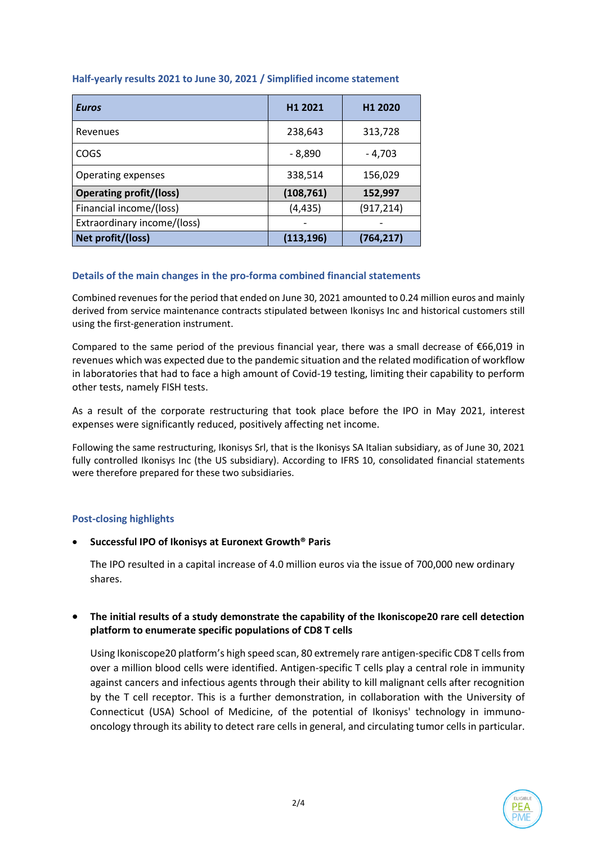| <b>Euros</b>                   | H1 2021    | H <sub>1</sub> 2020 |
|--------------------------------|------------|---------------------|
| Revenues                       | 238,643    | 313,728             |
| <b>COGS</b>                    | $-8,890$   | - 4,703             |
| Operating expenses             | 338,514    | 156,029             |
| <b>Operating profit/(loss)</b> | (108, 761) | 152,997             |
| Financial income/(loss)        | (4, 435)   | (917, 214)          |
| Extraordinary income/(loss)    |            |                     |
| Net profit/(loss)              | (113, 196) | (764, 217)          |

### **Half-yearly results 2021 to June 30, 2021 / Simplified income statement**

## **Details of the main changes in the pro-forma combined financial statements**

Combined revenues for the period that ended on June 30, 2021 amounted to 0.24 million euros and mainly derived from service maintenance contracts stipulated between Ikonisys Inc and historical customers still using the first-generation instrument.

Compared to the same period of the previous financial year, there was a small decrease of €66,019 in revenues which was expected due to the pandemic situation and the related modification of workflow in laboratories that had to face a high amount of Covid-19 testing, limiting their capability to perform other tests, namely FISH tests.

As a result of the corporate restructuring that took place before the IPO in May 2021, interest expenses were significantly reduced, positively affecting net income.

Following the same restructuring, Ikonisys Srl, that is the Ikonisys SA Italian subsidiary, as of June 30, 2021 fully controlled Ikonisys Inc (the US subsidiary). According to IFRS 10, consolidated financial statements were therefore prepared for these two subsidiaries.

#### **Post-closing highlights**

#### • **Successful IPO of Ikonisys at Euronext Growth® Paris**

The IPO resulted in a capital increase of 4.0 million euros via the issue of 700,000 new ordinary shares.

### • **The initial results of a study demonstrate the capability of the Ikoniscope20 rare cell detection platform to enumerate specific populations of CD8 T cells**

Using Ikoniscope20 platform's high speed scan, 80 extremely rare antigen-specific CD8 T cells from over a million blood cells were identified. Antigen-specific T cells play a central role in immunity against cancers and infectious agents through their ability to kill malignant cells after recognition by the T cell receptor. This is a further demonstration, in collaboration with the University of Connecticut (USA) School of Medicine, of the potential of Ikonisys' technology in immunooncology through its ability to detect rare cells in general, and circulating tumor cells in particular.

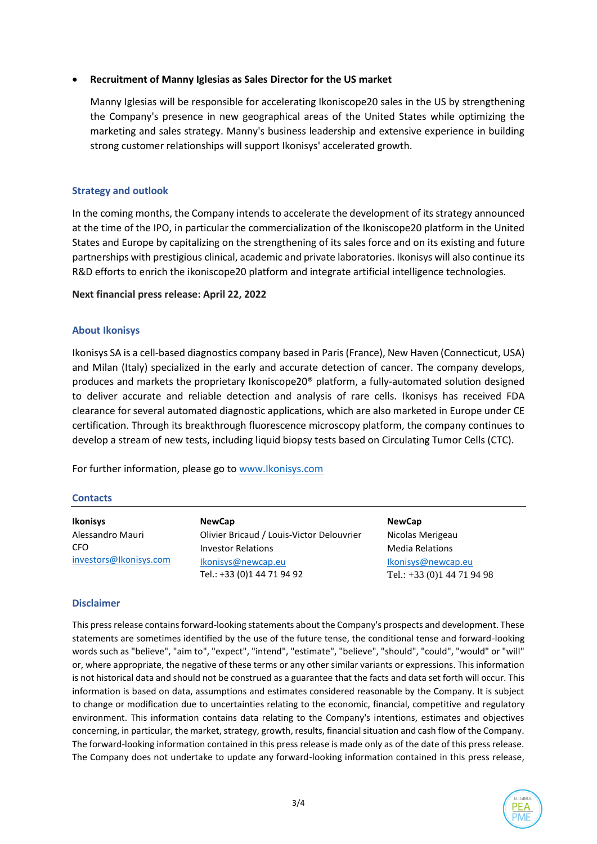#### • **Recruitment of Manny Iglesias as Sales Director for the US market**

Manny Iglesias will be responsible for accelerating Ikoniscope20 sales in the US by strengthening the Company's presence in new geographical areas of the United States while optimizing the marketing and sales strategy. Manny's business leadership and extensive experience in building strong customer relationships will support Ikonisys' accelerated growth.

### **Strategy and outlook**

In the coming months, the Company intends to accelerate the development of its strategy announced at the time of the IPO, in particular the commercialization of the Ikoniscope20 platform in the United States and Europe by capitalizing on the strengthening of its sales force and on its existing and future partnerships with prestigious clinical, academic and private laboratories. Ikonisys will also continue its R&D efforts to enrich the ikoniscope20 platform and integrate artificial intelligence technologies.

#### **Next financial press release: April 22, 2022**

#### **About Ikonisys**

Ikonisys SA is a cell-based diagnostics company based in Paris (France), New Haven (Connecticut, USA) and Milan (Italy) specialized in the early and accurate detection of cancer. The company develops, produces and markets the proprietary Ikoniscope20® platform, a fully-automated solution designed to deliver accurate and reliable detection and analysis of rare cells. Ikonisys has received FDA clearance for several automated diagnostic applications, which are also marketed in Europe under CE certification. Through its breakthrough fluorescence microscopy platform, the company continues to develop a stream of new tests, including liquid biopsy tests based on Circulating Tumor Cells (CTC).

For further information, please go to [www.Ikonisys.com](http://www.ikonisys.com/)

#### **Contacts**

| <b>Ikonisys</b>        | <b>NewCap</b>                                    | <b>NewCap</b>                                 |
|------------------------|--------------------------------------------------|-----------------------------------------------|
| Alessandro Mauri       | Olivier Bricaud / Louis-Victor Delouvrier        | Nicolas Merigeau                              |
| CFO                    | <b>Investor Relations</b>                        | <b>Media Relations</b>                        |
| investors@Ikonisys.com | Ikonisys@newcap.eu<br>Tel.: +33 (0)1 44 71 94 92 | Ikonisys@newcap.eu<br>Tel.: $+33(0)144719498$ |

#### **Disclaimer**

This press release contains forward-looking statements about the Company's prospects and development. These statements are sometimes identified by the use of the future tense, the conditional tense and forward-looking words such as "believe", "aim to", "expect", "intend", "estimate", "believe", "should", "could", "would" or "will" or, where appropriate, the negative of these terms or any other similar variants or expressions. This information is not historical data and should not be construed as a guarantee that the facts and data set forth will occur. This information is based on data, assumptions and estimates considered reasonable by the Company. It is subject to change or modification due to uncertainties relating to the economic, financial, competitive and regulatory environment. This information contains data relating to the Company's intentions, estimates and objectives concerning, in particular, the market, strategy, growth, results, financial situation and cash flow of the Company. The forward-looking information contained in this press release is made only as of the date of this press release. The Company does not undertake to update any forward-looking information contained in this press release,